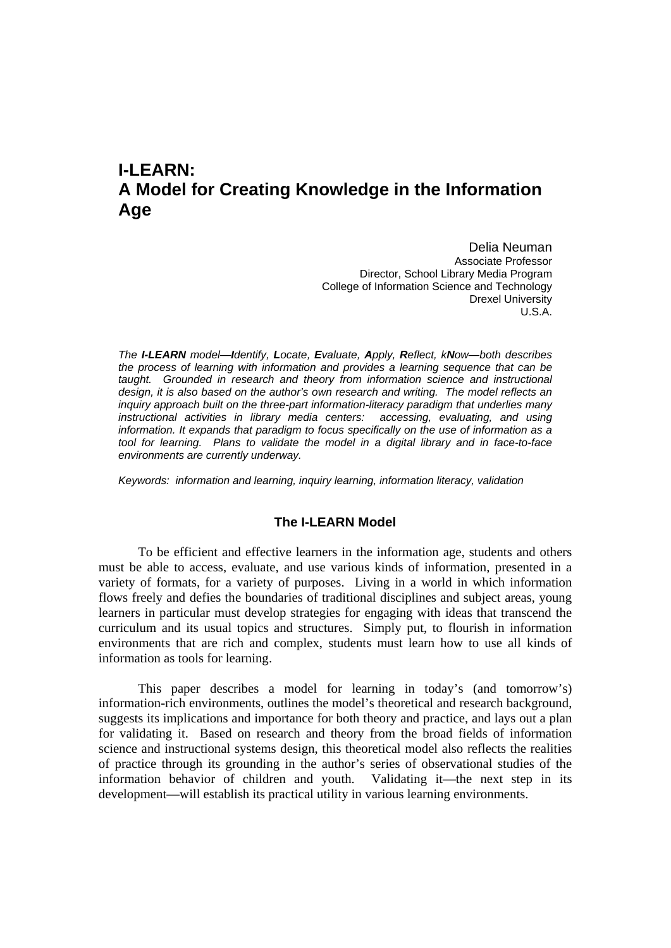# **I-LEARN: A Model for Creating Knowledge in the Information Age**

Delia Neuman Associate Professor Director, School Library Media Program College of Information Science and Technology Drexel University U.S.A.

*The I-LEARN model—Identify, Locate, Evaluate, Apply, Reflect, kNow—both describes the process of learning with information and provides a learning sequence that can be*  taught. Grounded in research and theory from information science and instructional *design, it is also based on the author's own research and writing. The model reflects an inquiry approach built on the three-part information-literacy paradigm that underlies many instructional activities in library media centers: accessing, evaluating, and using information. It expands that paradigm to focus specifically on the use of information as a tool for learning. Plans to validate the model in a digital library and in face-to-face environments are currently underway.* 

*Keywords: information and learning, inquiry learning, information literacy, validation* 

### **The I-LEARN Model**

To be efficient and effective learners in the information age, students and others must be able to access, evaluate, and use various kinds of information, presented in a variety of formats, for a variety of purposes. Living in a world in which information flows freely and defies the boundaries of traditional disciplines and subject areas, young learners in particular must develop strategies for engaging with ideas that transcend the curriculum and its usual topics and structures. Simply put, to flourish in information environments that are rich and complex, students must learn how to use all kinds of information as tools for learning.

This paper describes a model for learning in today's (and tomorrow's) information-rich environments, outlines the model's theoretical and research background, suggests its implications and importance for both theory and practice, and lays out a plan for validating it. Based on research and theory from the broad fields of information science and instructional systems design, this theoretical model also reflects the realities of practice through its grounding in the author's series of observational studies of the information behavior of children and youth. Validating it—the next step in its development—will establish its practical utility in various learning environments.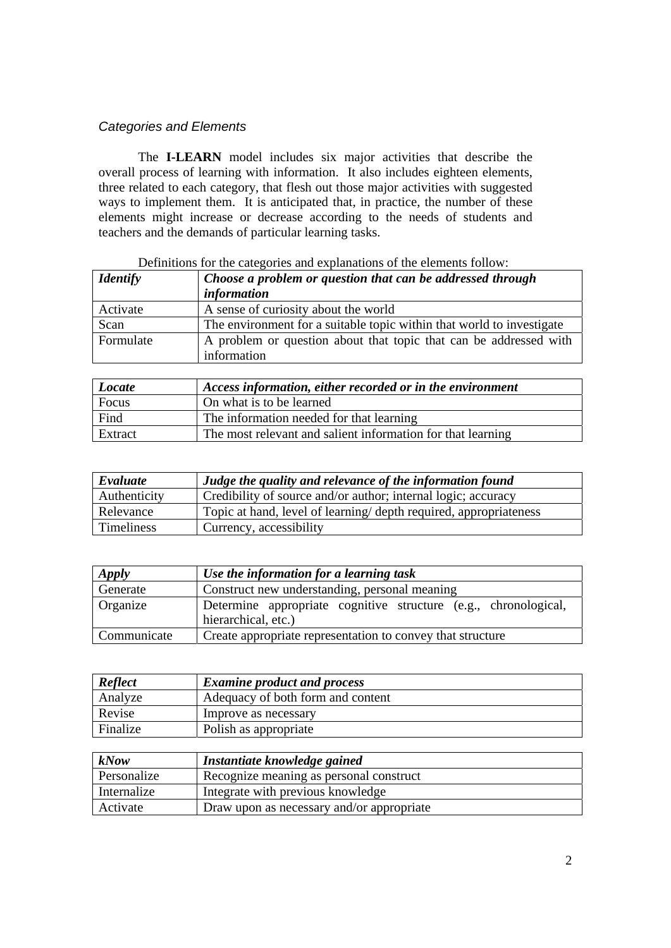# *Categories and Elements*

The **I-LEARN** model includes six major activities that describe the overall process of learning with information. It also includes eighteen elements, three related to each category, that flesh out those major activities with suggested ways to implement them. It is anticipated that, in practice, the number of these elements might increase or decrease according to the needs of students and teachers and the demands of particular learning tasks.

| <i>Identify</i> | Choose a problem or question that can be addressed through            |
|-----------------|-----------------------------------------------------------------------|
|                 | <i>information</i>                                                    |
| Activate        | A sense of curiosity about the world                                  |
| Scan            | The environment for a suitable topic within that world to investigate |
| Formulate       | A problem or question about that topic that can be addressed with     |
|                 | information                                                           |

## Definitions for the categories and explanations of the elements follow:

| Locate  | Access information, either recorded or in the environment   |
|---------|-------------------------------------------------------------|
| Focus   | On what is to be learned                                    |
| Find    | The information needed for that learning                    |
| Extract | The most relevant and salient information for that learning |
|         |                                                             |

| Evaluate     | Judge the quality and relevance of the information found         |
|--------------|------------------------------------------------------------------|
| Authenticity | Credibility of source and/or author; internal logic; accuracy    |
| Relevance    | Topic at hand, level of learning/depth required, appropriateness |
| Timeliness   | Currency, accessibility                                          |

| Apply       | Use the information for a learning task                                                |
|-------------|----------------------------------------------------------------------------------------|
| Generate    | Construct new understanding, personal meaning                                          |
| Organize    | Determine appropriate cognitive structure (e.g., chronological,<br>hierarchical, etc.) |
| Communicate | Create appropriate representation to convey that structure                             |

| Reflect  | <b>Examine product and process</b> |
|----------|------------------------------------|
| Analyze  | Adequacy of both form and content  |
| Revise   | Improve as necessary               |
| Finalize | Polish as appropriate              |

| kNow        | Instantiate knowledge gained              |
|-------------|-------------------------------------------|
| Personalize | Recognize meaning as personal construct   |
| Internalize | Integrate with previous knowledge         |
| Activate    | Draw upon as necessary and/or appropriate |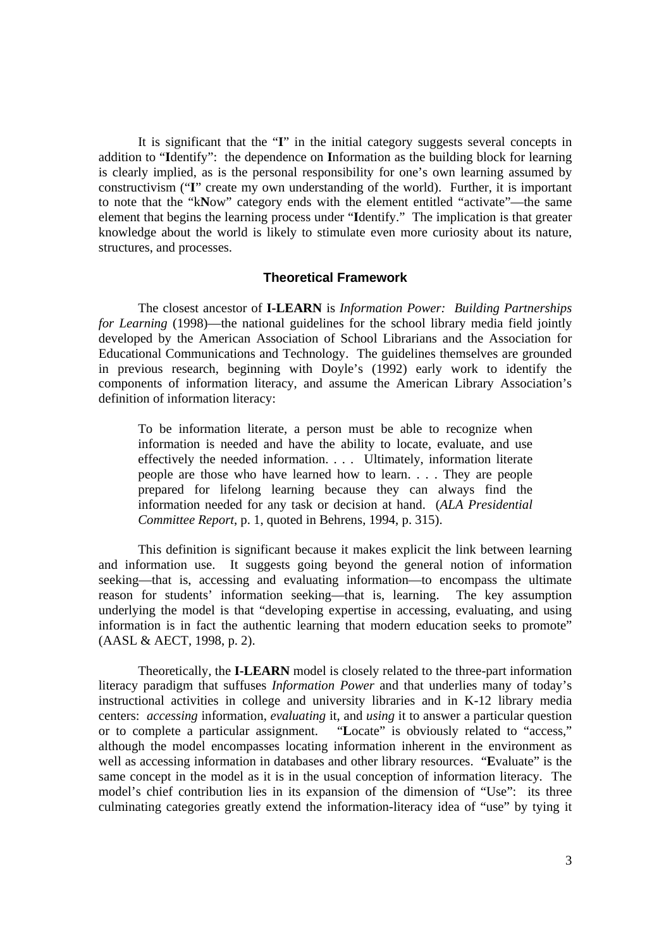It is significant that the "**I**" in the initial category suggests several concepts in addition to "**I**dentify": the dependence on **I**nformation as the building block for learning is clearly implied, as is the personal responsibility for one's own learning assumed by constructivism ("**I**" create my own understanding of the world). Further, it is important to note that the "k**N**ow" category ends with the element entitled "activate"—the same element that begins the learning process under "**I**dentify." The implication is that greater knowledge about the world is likely to stimulate even more curiosity about its nature, structures, and processes.

#### **Theoretical Framework**

The closest ancestor of **I-LEARN** is *Information Power: Building Partnerships for Learning* (1998)—the national guidelines for the school library media field jointly developed by the American Association of School Librarians and the Association for Educational Communications and Technology. The guidelines themselves are grounded in previous research, beginning with Doyle's (1992) early work to identify the components of information literacy, and assume the American Library Association's definition of information literacy:

To be information literate, a person must be able to recognize when information is needed and have the ability to locate, evaluate, and use effectively the needed information. . . . Ultimately, information literate people are those who have learned how to learn. . . . They are people prepared for lifelong learning because they can always find the information needed for any task or decision at hand. (*ALA Presidential Committee Report*, p. 1, quoted in Behrens, 1994, p. 315).

This definition is significant because it makes explicit the link between learning and information use. It suggests going beyond the general notion of information seeking—that is, accessing and evaluating information—to encompass the ultimate reason for students' information seeking—that is, learning. The key assumption underlying the model is that "developing expertise in accessing, evaluating, and using information is in fact the authentic learning that modern education seeks to promote" (AASL & AECT, 1998, p. 2).

Theoretically, the **I-LEARN** model is closely related to the three-part information literacy paradigm that suffuses *Information Power* and that underlies many of today's instructional activities in college and university libraries and in K-12 library media centers: *accessing* information, *evaluating* it, and *using* it to answer a particular question or to complete a particular assignment. "**L**ocate" is obviously related to "access," although the model encompasses locating information inherent in the environment as well as accessing information in databases and other library resources. "**E**valuate" is the same concept in the model as it is in the usual conception of information literacy. The model's chief contribution lies in its expansion of the dimension of "Use": its three culminating categories greatly extend the information-literacy idea of "use" by tying it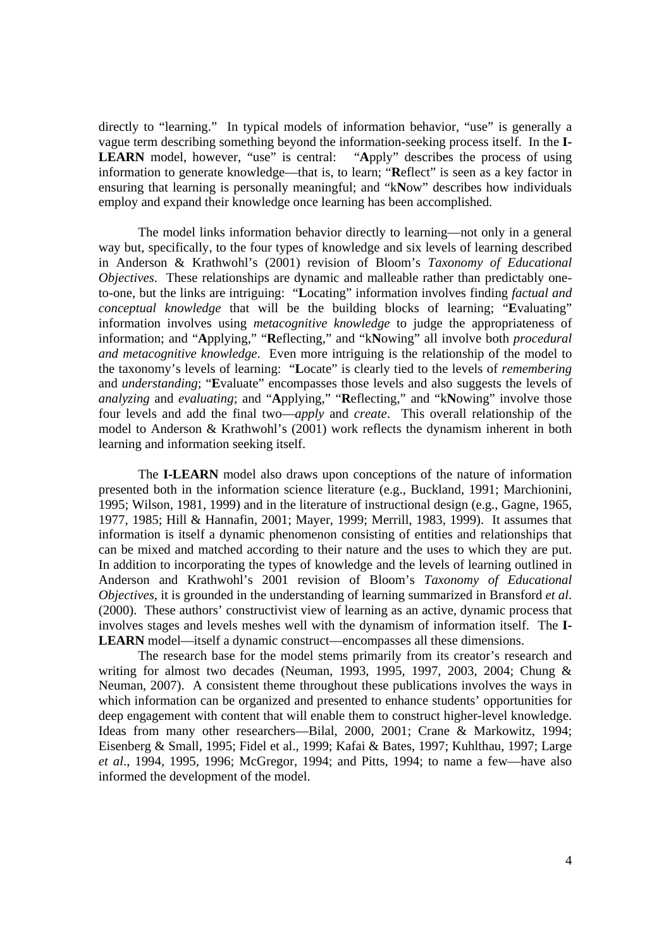directly to "learning." In typical models of information behavior, "use" is generally a vague term describing something beyond the information-seeking process itself. In the **I-LEARN** model, however, "use" is central: "**A**pply" describes the process of using information to generate knowledge—that is, to learn; "**R**eflect" is seen as a key factor in ensuring that learning is personally meaningful; and "k**N**ow" describes how individuals employ and expand their knowledge once learning has been accomplished.

The model links information behavior directly to learning—not only in a general way but, specifically, to the four types of knowledge and six levels of learning described in Anderson & Krathwohl's (2001) revision of Bloom's *Taxonomy of Educational Objectives*. These relationships are dynamic and malleable rather than predictably oneto-one, but the links are intriguing: "**L**ocating" information involves finding *factual and conceptual knowledge* that will be the building blocks of learning; "**E**valuating" information involves using *metacognitive knowledge* to judge the appropriateness of information; and "**A**pplying," "**R**eflecting," and "k**N**owing" all involve both *procedural and metacognitive knowledge*. Even more intriguing is the relationship of the model to the taxonomy's levels of learning: "**L**ocate" is clearly tied to the levels of *remembering* and *understanding*; "**E**valuate" encompasses those levels and also suggests the levels of *analyzing* and *evaluating*; and "**A**pplying," "**R**eflecting," and "k**N**owing" involve those four levels and add the final two—*apply* and *create*. This overall relationship of the model to Anderson & Krathwohl's (2001) work reflects the dynamism inherent in both learning and information seeking itself.

The **I-LEARN** model also draws upon conceptions of the nature of information presented both in the information science literature (e.g., Buckland, 1991; Marchionini, 1995; Wilson, 1981, 1999) and in the literature of instructional design (e.g., Gagne, 1965, 1977, 1985; Hill & Hannafin, 2001; Mayer, 1999; Merrill, 1983, 1999). It assumes that information is itself a dynamic phenomenon consisting of entities and relationships that can be mixed and matched according to their nature and the uses to which they are put. In addition to incorporating the types of knowledge and the levels of learning outlined in Anderson and Krathwohl's 2001 revision of Bloom's *Taxonomy of Educational Objectives*, it is grounded in the understanding of learning summarized in Bransford *et al*. (2000). These authors' constructivist view of learning as an active, dynamic process that involves stages and levels meshes well with the dynamism of information itself. The **I-LEARN** model—itself a dynamic construct—encompasses all these dimensions.

The research base for the model stems primarily from its creator's research and writing for almost two decades (Neuman, 1993, 1995, 1997, 2003, 2004; Chung & Neuman, 2007). A consistent theme throughout these publications involves the ways in which information can be organized and presented to enhance students' opportunities for deep engagement with content that will enable them to construct higher-level knowledge. Ideas from many other researchers—Bilal, 2000, 2001; Crane & Markowitz, 1994; Eisenberg & Small, 1995; Fidel et al., 1999; Kafai & Bates, 1997; Kuhlthau, 1997; Large *et al*., 1994, 1995, 1996; McGregor, 1994; and Pitts, 1994; to name a few—have also informed the development of the model.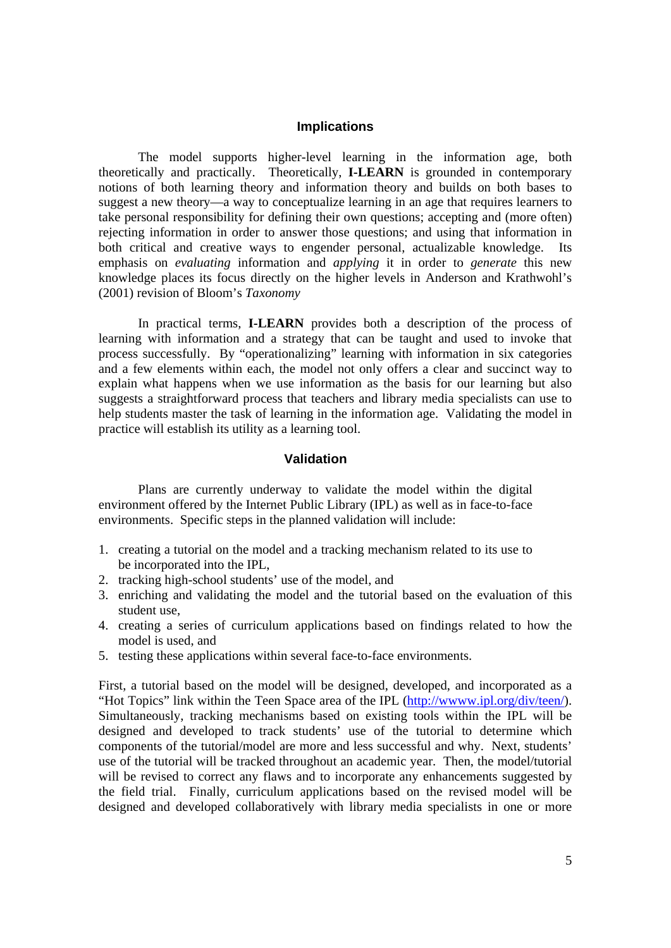### **Implications**

The model supports higher-level learning in the information age, both theoretically and practically. Theoretically, **I-LEARN** is grounded in contemporary notions of both learning theory and information theory and builds on both bases to suggest a new theory—a way to conceptualize learning in an age that requires learners to take personal responsibility for defining their own questions; accepting and (more often) rejecting information in order to answer those questions; and using that information in both critical and creative ways to engender personal, actualizable knowledge. Its emphasis on *evaluating* information and *applying* it in order to *generate* this new knowledge places its focus directly on the higher levels in Anderson and Krathwohl's (2001) revision of Bloom's *Taxonomy*

In practical terms, **I-LEARN** provides both a description of the process of learning with information and a strategy that can be taught and used to invoke that process successfully. By "operationalizing" learning with information in six categories and a few elements within each, the model not only offers a clear and succinct way to explain what happens when we use information as the basis for our learning but also suggests a straightforward process that teachers and library media specialists can use to help students master the task of learning in the information age. Validating the model in practice will establish its utility as a learning tool.

### **Validation**

Plans are currently underway to validate the model within the digital environment offered by the Internet Public Library (IPL) as well as in face-to-face environments. Specific steps in the planned validation will include:

- 1. creating a tutorial on the model and a tracking mechanism related to its use to be incorporated into the IPL,
- 2. tracking high-school students' use of the model, and
- 3. enriching and validating the model and the tutorial based on the evaluation of this student use,
- 4. creating a series of curriculum applications based on findings related to how the model is used, and
- 5. testing these applications within several face-to-face environments.

First, a tutorial based on the model will be designed, developed, and incorporated as a "Hot Topics" link within the Teen Space area of the IPL (http://wwww.ipl.org/div/teen/). Simultaneously, tracking mechanisms based on existing tools within the IPL will be designed and developed to track students' use of the tutorial to determine which components of the tutorial/model are more and less successful and why. Next, students' use of the tutorial will be tracked throughout an academic year. Then, the model/tutorial will be revised to correct any flaws and to incorporate any enhancements suggested by the field trial. Finally, curriculum applications based on the revised model will be designed and developed collaboratively with library media specialists in one or more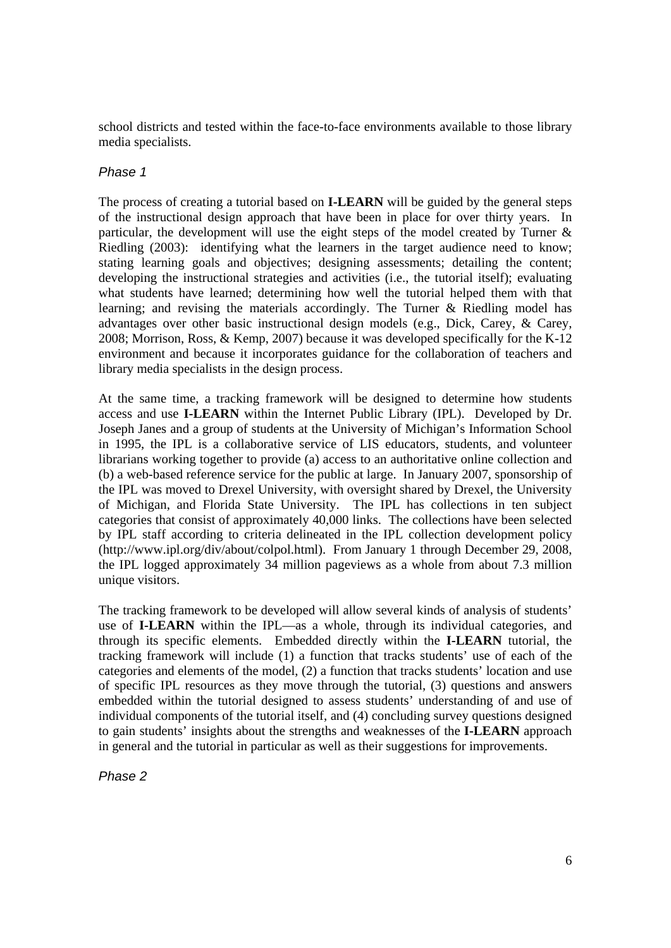school districts and tested within the face-to-face environments available to those library media specialists.

# *Phase 1*

The process of creating a tutorial based on **I-LEARN** will be guided by the general steps of the instructional design approach that have been in place for over thirty years. In particular, the development will use the eight steps of the model created by Turner & Riedling (2003): identifying what the learners in the target audience need to know; stating learning goals and objectives; designing assessments; detailing the content; developing the instructional strategies and activities (i.e., the tutorial itself); evaluating what students have learned; determining how well the tutorial helped them with that learning; and revising the materials accordingly. The Turner & Riedling model has advantages over other basic instructional design models (e.g., Dick, Carey, & Carey, 2008; Morrison, Ross, & Kemp, 2007) because it was developed specifically for the K-12 environment and because it incorporates guidance for the collaboration of teachers and library media specialists in the design process.

At the same time, a tracking framework will be designed to determine how students access and use **I-LEARN** within the Internet Public Library (IPL). Developed by Dr. Joseph Janes and a group of students at the University of Michigan's Information School in 1995, the IPL is a collaborative service of LIS educators, students, and volunteer librarians working together to provide (a) access to an authoritative online collection and (b) a web-based reference service for the public at large. In January 2007, sponsorship of the IPL was moved to Drexel University, with oversight shared by Drexel, the University of Michigan, and Florida State University. The IPL has collections in ten subject categories that consist of approximately 40,000 links. The collections have been selected by IPL staff according to criteria delineated in the IPL collection development policy (http://www.ipl.org/div/about/colpol.html). From January 1 through December 29, 2008, the IPL logged approximately 34 million pageviews as a whole from about 7.3 million unique visitors.

The tracking framework to be developed will allow several kinds of analysis of students' use of **I-LEARN** within the IPL—as a whole, through its individual categories, and through its specific elements. Embedded directly within the **I-LEARN** tutorial, the tracking framework will include (1) a function that tracks students' use of each of the categories and elements of the model, (2) a function that tracks students' location and use of specific IPL resources as they move through the tutorial, (3) questions and answers embedded within the tutorial designed to assess students' understanding of and use of individual components of the tutorial itself, and (4) concluding survey questions designed to gain students' insights about the strengths and weaknesses of the **I-LEARN** approach in general and the tutorial in particular as well as their suggestions for improvements.

*Phase 2*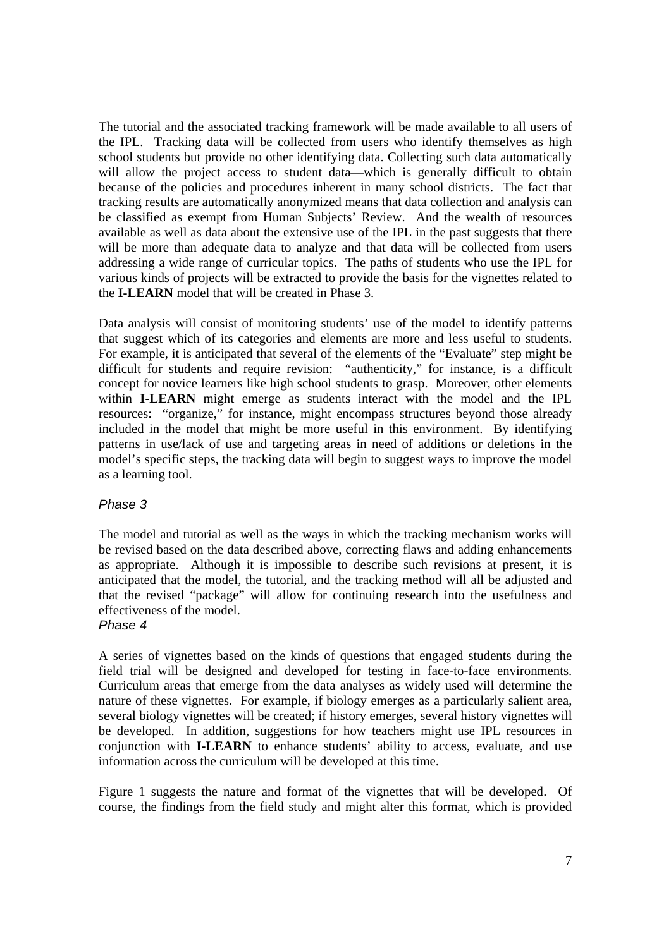The tutorial and the associated tracking framework will be made available to all users of the IPL. Tracking data will be collected from users who identify themselves as high school students but provide no other identifying data. Collecting such data automatically will allow the project access to student data—which is generally difficult to obtain because of the policies and procedures inherent in many school districts. The fact that tracking results are automatically anonymized means that data collection and analysis can be classified as exempt from Human Subjects' Review. And the wealth of resources available as well as data about the extensive use of the IPL in the past suggests that there will be more than adequate data to analyze and that data will be collected from users addressing a wide range of curricular topics. The paths of students who use the IPL for various kinds of projects will be extracted to provide the basis for the vignettes related to the **I-LEARN** model that will be created in Phase 3.

Data analysis will consist of monitoring students' use of the model to identify patterns that suggest which of its categories and elements are more and less useful to students. For example, it is anticipated that several of the elements of the "Evaluate" step might be difficult for students and require revision: "authenticity," for instance, is a difficult concept for novice learners like high school students to grasp. Moreover, other elements within **I-LEARN** might emerge as students interact with the model and the IPL resources: "organize," for instance, might encompass structures beyond those already included in the model that might be more useful in this environment. By identifying patterns in use/lack of use and targeting areas in need of additions or deletions in the model's specific steps, the tracking data will begin to suggest ways to improve the model as a learning tool.

# *Phase 3*

The model and tutorial as well as the ways in which the tracking mechanism works will be revised based on the data described above, correcting flaws and adding enhancements as appropriate. Although it is impossible to describe such revisions at present, it is anticipated that the model, the tutorial, and the tracking method will all be adjusted and that the revised "package" will allow for continuing research into the usefulness and effectiveness of the model.

# *Phase 4*

A series of vignettes based on the kinds of questions that engaged students during the field trial will be designed and developed for testing in face-to-face environments. Curriculum areas that emerge from the data analyses as widely used will determine the nature of these vignettes. For example, if biology emerges as a particularly salient area, several biology vignettes will be created; if history emerges, several history vignettes will be developed. In addition, suggestions for how teachers might use IPL resources in conjunction with **I-LEARN** to enhance students' ability to access, evaluate, and use information across the curriculum will be developed at this time.

Figure 1 suggests the nature and format of the vignettes that will be developed. Of course, the findings from the field study and might alter this format, which is provided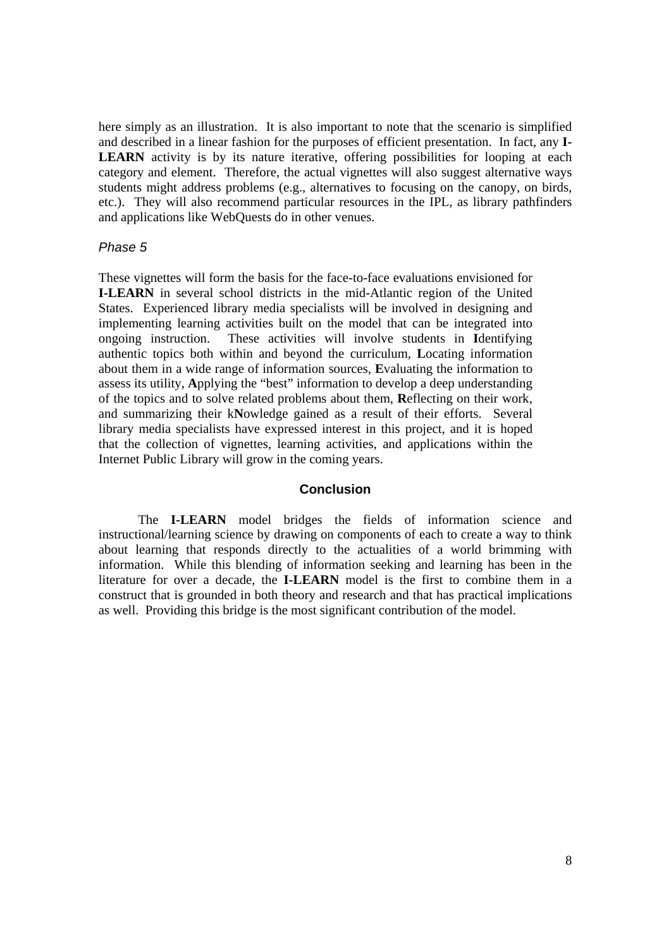here simply as an illustration. It is also important to note that the scenario is simplified and described in a linear fashion for the purposes of efficient presentation. In fact, any **I-**LEARN activity is by its nature iterative, offering possibilities for looping at each category and element. Therefore, the actual vignettes will also suggest alternative ways students might address problems (e.g., alternatives to focusing on the canopy, on birds, etc.). They will also recommend particular resources in the IPL, as library pathfinders and applications like WebQuests do in other venues.

### *Phase 5*

These vignettes will form the basis for the face-to-face evaluations envisioned for **I-LEARN** in several school districts in the mid-Atlantic region of the United States. Experienced library media specialists will be involved in designing and implementing learning activities built on the model that can be integrated into ongoing instruction. These activities will involve students in **I**dentifying authentic topics both within and beyond the curriculum, **L**ocating information about them in a wide range of information sources, **E**valuating the information to assess its utility, **A**pplying the "best" information to develop a deep understanding of the topics and to solve related problems about them, **R**eflecting on their work, and summarizing their k**N**owledge gained as a result of their efforts. Several library media specialists have expressed interest in this project, and it is hoped that the collection of vignettes, learning activities, and applications within the Internet Public Library will grow in the coming years.

### **Conclusion**

The **I-LEARN** model bridges the fields of information science and instructional/learning science by drawing on components of each to create a way to think about learning that responds directly to the actualities of a world brimming with information. While this blending of information seeking and learning has been in the literature for over a decade, the **I-LEARN** model is the first to combine them in a construct that is grounded in both theory and research and that has practical implications as well. Providing this bridge is the most significant contribution of the model.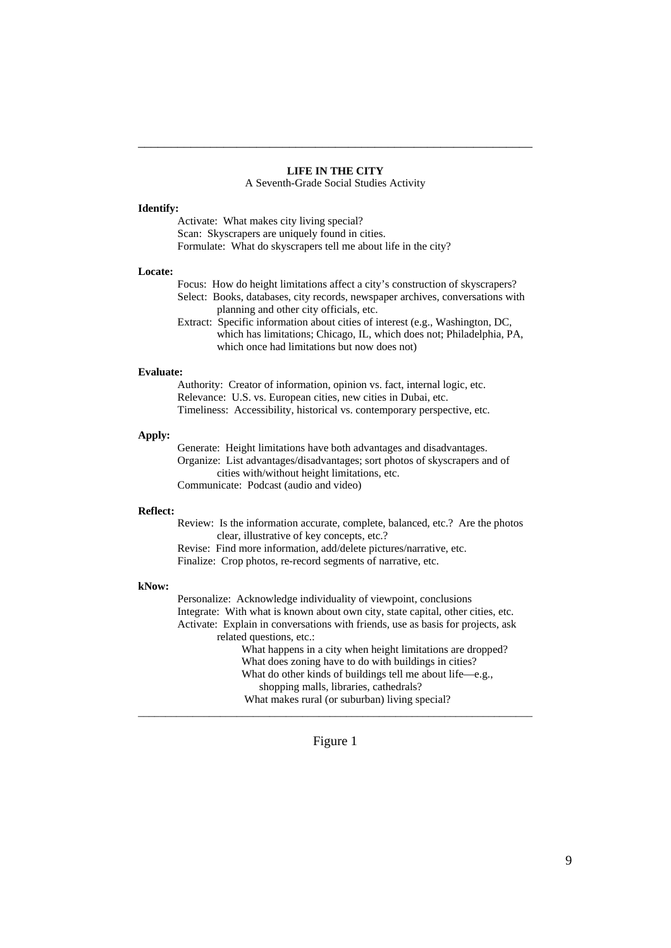### **LIFE IN THE CITY**

\_\_\_\_\_\_\_\_\_\_\_\_\_\_\_\_\_\_\_\_\_\_\_\_\_\_\_\_\_\_\_\_\_\_\_\_\_\_\_\_\_\_\_\_\_\_\_\_\_\_\_\_\_\_\_\_\_\_\_\_

A Seventh-Grade Social Studies Activity

#### **Identify:**

 Activate: What makes city living special? Scan: Skyscrapers are uniquely found in cities. Formulate: What do skyscrapers tell me about life in the city?

#### **Locate:**

| Focus: How do height limitations affect a city's construction of skyscrapers?  |
|--------------------------------------------------------------------------------|
| Select: Books, databases, city records, newspaper archives, conversations with |
| planning and other city officials, etc.                                        |
| Extract: Specific information about cities of interest (e.g. Washington $DC$   |

xtract: Specific information about cities of interest (e.g., Washington, DC which has limitations; Chicago, IL, which does not; Philadelphia, PA, which once had limitations but now does not)

#### **Evaluate:**

 Authority: Creator of information, opinion vs. fact, internal logic, etc. Relevance: U.S. vs. European cities, new cities in Dubai, etc. Timeliness: Accessibility, historical vs. contemporary perspective, etc.

#### **Apply:**

 Generate: Height limitations have both advantages and disadvantages. Organize: List advantages/disadvantages; sort photos of skyscrapers and of cities with/without height limitations, etc. Communicate: Podcast (audio and video)

#### **Reflect:**

 Review: Is the information accurate, complete, balanced, etc.? Are the photos clear, illustrative of key concepts, etc.?

Revise: Find more information, add/delete pictures/narrative, etc.

Finalize: Crop photos, re-record segments of narrative, etc.

#### **kNow:**

 Personalize: Acknowledge individuality of viewpoint, conclusions Integrate: With what is known about own city, state capital, other cities, etc. Activate: Explain in conversations with friends, use as basis for projects, ask related questions, etc.: What happens in a city when height limitations are dropped? What does zoning have to do with buildings in cities? What do other kinds of buildings tell me about life—e.g., shopping malls, libraries, cathedrals?

What makes rural (or suburban) living special?

#### Figure 1

\_\_\_\_\_\_\_\_\_\_\_\_\_\_\_\_\_\_\_\_\_\_\_\_\_\_\_\_\_\_\_\_\_\_\_\_\_\_\_\_\_\_\_\_\_\_\_\_\_\_\_\_\_\_\_\_\_\_\_\_\_\_\_\_\_\_\_\_\_\_\_\_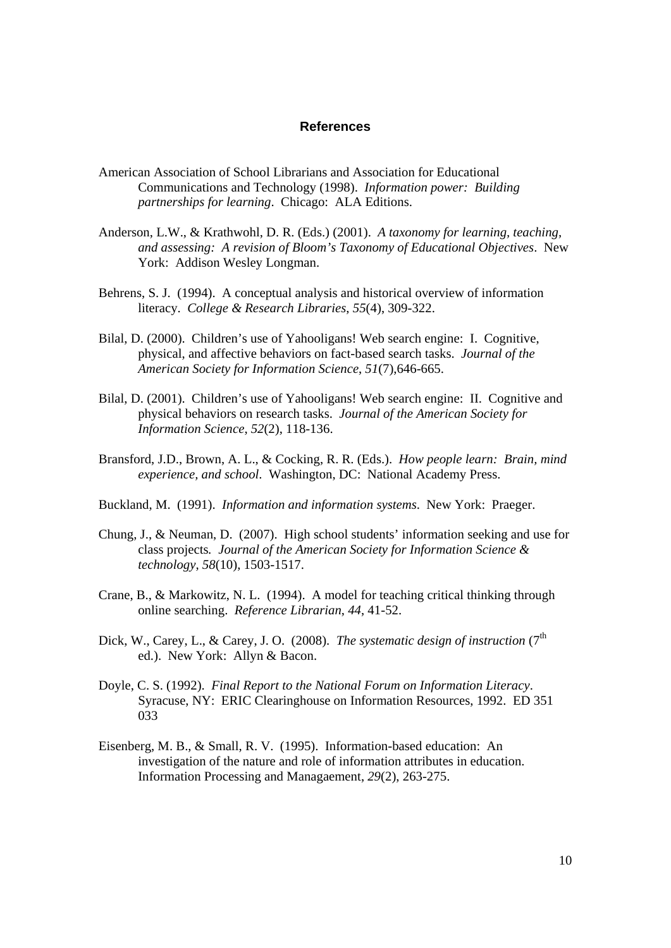#### **References**

- American Association of School Librarians and Association for Educational Communications and Technology (1998). *Information power: Building partnerships for learning*. Chicago: ALA Editions.
- Anderson, L.W., & Krathwohl, D. R. (Eds.) (2001). *A taxonomy for learning, teaching, and assessing: A revision of Bloom's Taxonomy of Educational Objectives*. New York: Addison Wesley Longman.
- Behrens, S. J. (1994). A conceptual analysis and historical overview of information literacy. *College & Research Libraries*, *55*(4), 309-322.
- Bilal, D. (2000). Children's use of Yahooligans! Web search engine: I. Cognitive, physical, and affective behaviors on fact-based search tasks. *Journal of the American Society for Information Science*, *51*(7),646-665.
- Bilal, D. (2001). Children's use of Yahooligans! Web search engine: II. Cognitive and physical behaviors on research tasks. *Journal of the American Society for Information Science*, *52*(2), 118-136.
- Bransford, J.D., Brown, A. L., & Cocking, R. R. (Eds.). *How people learn: Brain, mind experience, and school*. Washington, DC: National Academy Press.
- Buckland, M. (1991). *Information and information systems*. New York: Praeger.
- Chung, J., & Neuman, D. (2007). High school students' information seeking and use for class projects*. Journal of the American Society for Information Science & technology*, *58*(10), 1503-1517.
- Crane, B., & Markowitz, N. L. (1994). A model for teaching critical thinking through online searching. *Reference Librarian*, *44*, 41-52.
- Dick, W., Carey, L., & Carey, J. O. (2008). *The systematic design of instruction* (7<sup>th</sup>) ed.). New York: Allyn & Bacon.
- Doyle, C. S. (1992). *Final Report to the National Forum on Information Literacy*. Syracuse, NY: ERIC Clearinghouse on Information Resources, 1992. ED 351 033
- Eisenberg, M. B., & Small, R. V. (1995). Information-based education: An investigation of the nature and role of information attributes in education. Information Processing and Managaement, *29*(2), 263-275.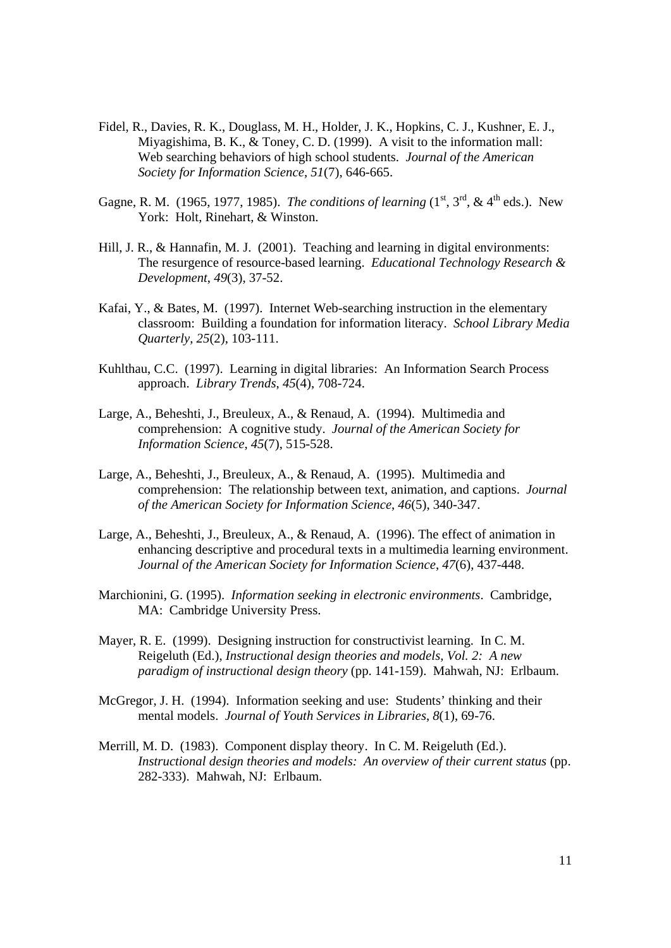- Fidel, R., Davies, R. K., Douglass, M. H., Holder, J. K., Hopkins, C. J., Kushner, E. J., Miyagishima, B. K., & Toney, C. D. (1999). A visit to the information mall: Web searching behaviors of high school students. *Journal of the American Society for Information Science*, *51*(7), 646-665.
- Gagne, R. M. (1965, 1977, 1985). *The conditions of learning*  $(1^{st}, 3^{rd}, & 4^{th}$  eds.). New York: Holt, Rinehart, & Winston.
- Hill, J. R., & Hannafin, M. J. (2001). Teaching and learning in digital environments: The resurgence of resource-based learning. *Educational Technology Research & Development*, *49*(3), 37-52.
- Kafai, Y., & Bates, M. (1997). Internet Web-searching instruction in the elementary classroom: Building a foundation for information literacy. *School Library Media Quarterly*, *25*(2), 103-111.
- Kuhlthau, C.C. (1997). Learning in digital libraries: An Information Search Process approach. *Library Trends*, *45*(4), 708-724.
- Large, A., Beheshti, J., Breuleux, A., & Renaud, A. (1994). Multimedia and comprehension: A cognitive study. *Journal of the American Society for Information Science*, *45*(7), 515-528.
- Large, A., Beheshti, J., Breuleux, A., & Renaud, A. (1995). Multimedia and comprehension: The relationship between text, animation, and captions. *Journal of the American Society for Information Science*, *46*(5), 340-347.
- Large, A., Beheshti, J., Breuleux, A., & Renaud, A. (1996). The effect of animation in enhancing descriptive and procedural texts in a multimedia learning environment. *Journal of the American Society for Information Science*, *47*(6), 437-448.
- Marchionini, G. (1995). *Information seeking in electronic environments*. Cambridge, MA: Cambridge University Press.
- Mayer, R. E. (1999). Designing instruction for constructivist learning. In C. M. Reigeluth (Ed.), *Instructional design theories and models, Vol. 2: A new paradigm of instructional design theory* (pp. 141-159). Mahwah, NJ: Erlbaum.
- McGregor, J. H. (1994). Information seeking and use: Students' thinking and their mental models. *Journal of Youth Services in Libraries*, *8*(1), 69-76.
- Merrill, M. D. (1983). Component display theory. In C. M. Reigeluth (Ed.). *Instructional design theories and models: An overview of their current status* (pp. 282-333). Mahwah, NJ: Erlbaum.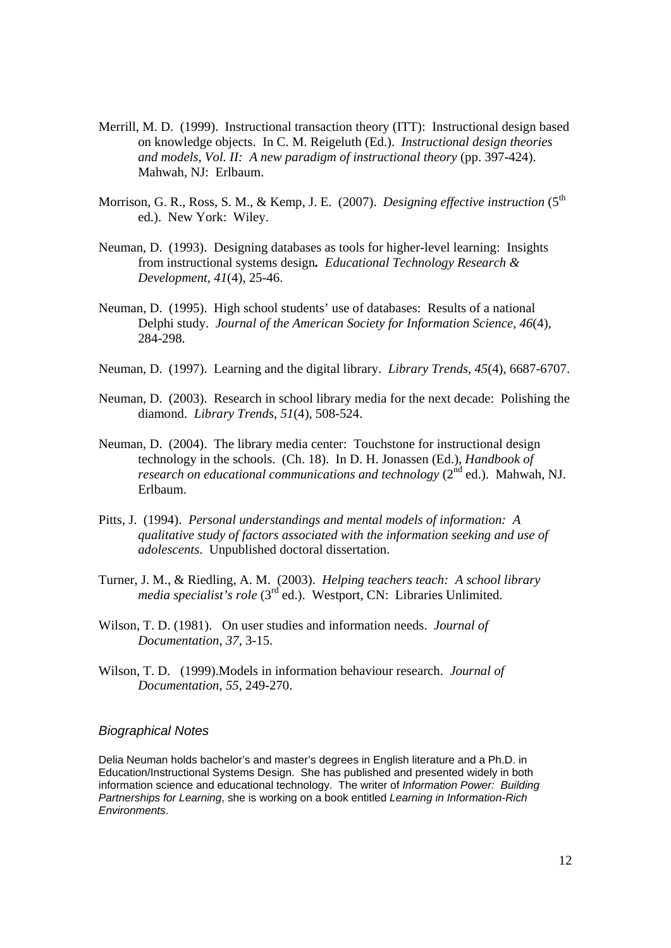- Merrill, M. D. (1999). Instructional transaction theory (ITT): Instructional design based on knowledge objects. In C. M. Reigeluth (Ed.). *Instructional design theories and models, Vol. II: A new paradigm of instructional theory* (pp. 397-424). Mahwah, NJ: Erlbaum.
- Morrison, G. R., Ross, S. M., & Kemp, J. E. (2007). *Designing effective instruction* (5<sup>th</sup>) ed.). New York: Wiley.
- Neuman, D. (1993). Designing databases as tools for higher-level learning: Insights from instructional systems design*. Educational Technology Research & Development*, *41*(4), 25-46.
- Neuman, D. (1995). High school students' use of databases: Results of a national Delphi study. *Journal of the American Society for Information Science*, *46*(4), 284-298.
- Neuman, D. (1997). Learning and the digital library. *Library Trends*, *45*(4), 6687-6707.
- Neuman, D. (2003). Research in school library media for the next decade: Polishing the diamond. *Library Trends*, *51*(4), 508-524.
- Neuman, D. (2004). The library media center: Touchstone for instructional design technology in the schools. (Ch. 18). In D. H. Jonassen (Ed.), *Handbook of research on educational communications and technology* (2<sup>nd</sup> ed.). Mahwah, NJ. Erlbaum.
- Pitts, J. (1994). *Personal understandings and mental models of information: A qualitative study of factors associated with the information seeking and use of adolescents*. Unpublished doctoral dissertation.
- Turner, J. M., & Riedling, A. M. (2003). *Helping teachers teach: A school library media specialist's role* (3<sup>rd</sup> ed.). Westport, CN: Libraries Unlimited.
- Wilson, T. D. (1981). On user studies and information needs. *Journal of Documentation*, *37*, 3-15.
- Wilson, T. D. (1999).Models in information behaviour research. *Journal of Documentation*, *55*, 249-270.

#### *Biographical Notes*

Delia Neuman holds bachelor's and master's degrees in English literature and a Ph.D. in Education/Instructional Systems Design. She has published and presented widely in both information science and educational technology. The writer of *Information Power: Building Partnerships for Learning*, she is working on a book entitled *Learning in Information-Rich Environments*.